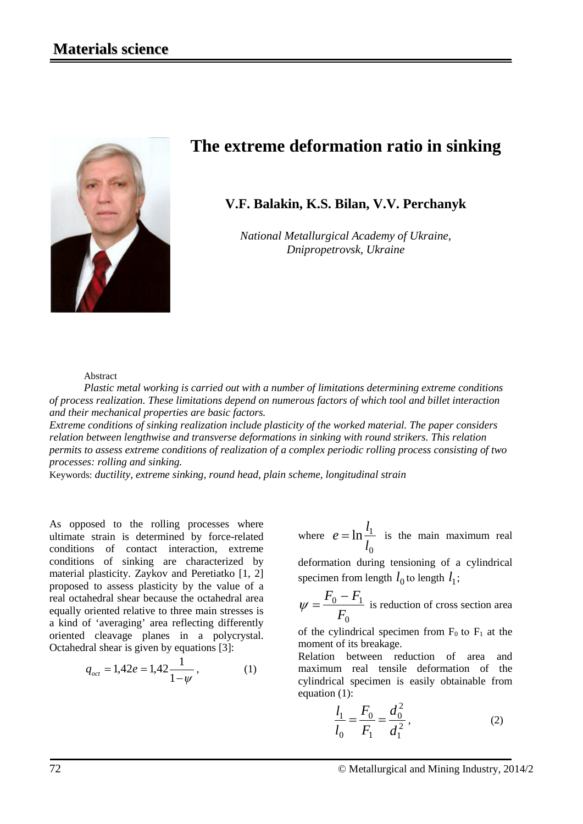

# **The extreme deformation ratio in sinking**

# **V.F. Balakin, K.S. Bilan, V.V. Perchanyk**

*National Metallurgical Academy of Ukraine, Dnipropetrovsk, Ukraine*

#### Abstract

*Plastic metal working is carried out with a number of limitations determining extreme conditions of process realization. These limitations depend on numerous factors of which tool and billet interaction and their mechanical properties are basic factors.* 

*Extreme conditions of sinking realization include plasticity of the worked material. The paper considers relation between lengthwise and transverse deformations in sinking with round strikers. This relation permits to assess extreme conditions of realization of a complex periodic rolling process consisting of two processes: rolling and sinking.*

Keywords: *ductility, extreme sinking, round head, plain scheme, longitudinal strain*

As opposed to the rolling processes where ultimate strain is determined by force-related conditions of contact interaction, extreme conditions of sinking are characterized by material plasticity. Zaykov and Peretiatko [1, 2] proposed to assess plasticity by the value of a real octahedral shear because the octahedral area equally oriented relative to three main stresses is a kind of 'averaging' area reflecting differently oriented cleavage planes in a polycrystal. Octahedral shear is given by equations [3]:

$$
q_{oct} = 1,42e = 1,42\frac{1}{1-\psi},\tag{1}
$$

where  $\boldsymbol{0}$  $\ln \frac{\iota_1}{\iota}$ *l l*  $e = \ln \frac{t_1}{t}$  is the main maximum real

deformation during tensioning of a cylindrical specimen from length  $l_0$  to length  $l_1$ ;

$$
\psi = \frac{F_0 - F_1}{F_0}
$$
 is reduction of cross section area

of the cylindrical specimen from  $F_0$  to  $F_1$  at the moment of its breakage.

Relation between reduction of area and maximum real tensile deformation of the cylindrical specimen is easily obtainable from equation (1):

$$
\frac{l_1}{l_0} = \frac{F_0}{F_1} = \frac{d_0^2}{d_1^2},
$$
\n(2)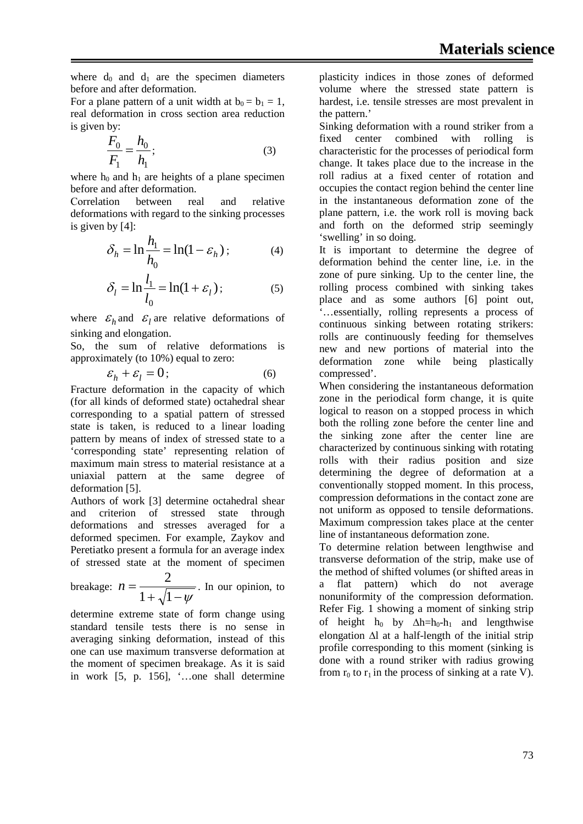where  $d_0$  and  $d_1$  are the specimen diameters before and after deformation.

For a plane pattern of a unit width at  $b_0 = b_1 = 1$ , real deformation in cross section area reduction is given by:

$$
\frac{F_0}{F_1} = \frac{h_0}{h_1};
$$
\n(3)

where  $h_0$  and  $h_1$  are heights of a plane specimen before and after deformation.

Соrrelation between real and relative deformations with regard to the sinking processes is given by [4]:

$$
\delta_h = \ln \frac{h_1}{h_0} = \ln(1 - \varepsilon_h); \tag{4}
$$

$$
\delta_l = \ln \frac{l_1}{l_0} = \ln(1 + \varepsilon_l); \tag{5}
$$

where  $\mathcal{E}_h$  and  $\mathcal{E}_l$  are relative deformations of sinking and elongation.

So, the sum of relative deformations is approximately (to 10%) equal to zero:

$$
\varepsilon_h + \varepsilon_l = 0; \tag{6}
$$

Fracture deformation in the capacity of which (for all kinds of deformed state) octahedral shear corresponding to a spatial pattern of stressed state is taken, is reduced to a linear loading pattern by means of index of stressed state to a 'corresponding state' representing relation of maximum main stress to material resistance at a uniaxial pattern at the same degree of deformation [5].

Authors of work [3] determine octahedral shear and criterion of stressed state through deformations and stresses averaged for a deformed specimen. For example, Zaykov and Peretiatko present a formula for an average index of stressed state at the moment of specimen

breakage:  $n = \frac{2}{1 + \sqrt{1 - \psi}}$ 2  $n = \frac{2}{\sqrt{2\pi}}$ . In our opinion, to

determine extreme state of form change using standard tensile tests there is no sense in averaging sinking deformation, instead of this one can use maximum transverse deformation at the moment of specimen breakage. As it is said in work [5, p. 156], '…one shall determine

plasticity indices in those zones of deformed volume where the stressed state pattern is hardest, i.e. tensile stresses are most prevalent in the pattern.'

Sinking deformation with a round striker from a fixed center combined with rolling is characteristic for the processes of periodical form change. It takes place due to the increase in the roll radius at a fixed center of rotation and occupies the contact region behind the center line in the instantaneous deformation zone of the plane pattern, i.e. the work roll is moving back and forth on the deformed strip seemingly 'swelling' in so doing.

It is important to determine the degree of deformation behind the center line, i.e. in the zone of pure sinking. Up to the center line, the rolling process combined with sinking takes place and as some authors [6] point out, '…essentially, rolling represents a process of continuous sinking between rotating strikers: rolls are continuously feeding for themselves new and new portions of material into the deformation zone while being plastically compressed'.

When considering the instantaneous deformation zone in the periodical form change, it is quite logical to reason on a stopped process in which both the rolling zone before the center line and the sinking zone after the center line are characterized by continuous sinking with rotating rolls with their radius position and size determining the degree of deformation at a conventionally stopped moment. In this process, compression deformations in the contact zone are not uniform as opposed to tensile deformations. Maximum compression takes place at the center line of instantaneous deformation zone.

To determine relation between lengthwise and transverse deformation of the strip, make use of the method of shifted volumes (or shifted areas in a flat pattern) which do not average nonuniformity of the compression deformation. Refer Fig. 1 showing a moment of sinking strip of height h<sub>0</sub> by  $\Delta h=h_0-h_1$  and lengthwise elongation ∆l at a half-length of the initial strip profile corresponding to this moment (sinking is done with a round striker with radius growing from  $r_0$  to  $r_1$  in the process of sinking at a rate V).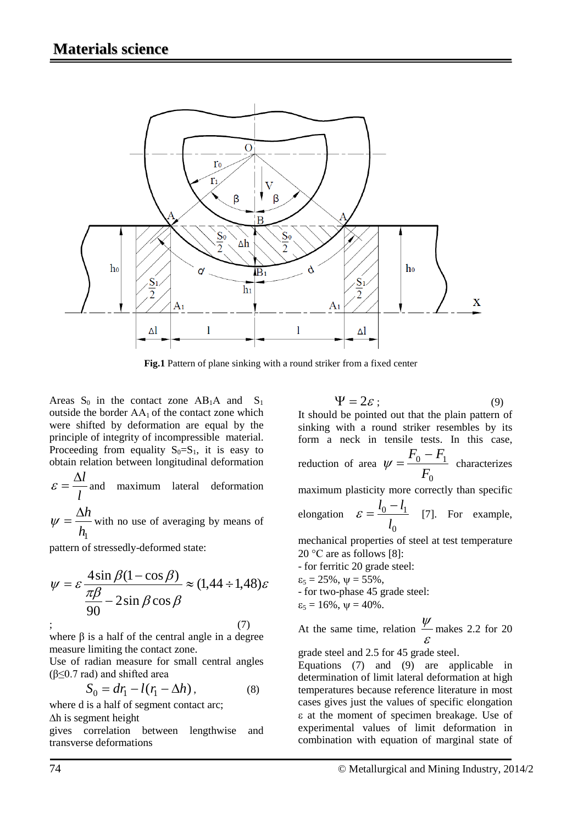

**Fig.1** Pattern of plane sinking with a round striker from a fixed center

Areas  $S_0$  in the contact zone AB<sub>1</sub>A and  $S_1$ outside the border  $AA_1$  of the contact zone which were shifted by deformation are equal by the principle of integrity of incompressible material. Proceeding from equality  $S_0 = S_1$ , it is easy to obtain relation between longitudinal deformation

*l*  $\varepsilon = \frac{\Delta l}{l}$  and maximum lateral deformation

 $h<sub>1</sub>$ ∆*h*  $\psi = \frac{\Delta n}{l}$  with no use of averaging by means of

pattern of stressedly-deformed state:

$$
\psi = \varepsilon \frac{4 \sin \beta (1 - \cos \beta)}{\frac{\pi \beta}{90} - 2 \sin \beta \cos \beta} \approx (1,44 \div 1,48)\varepsilon
$$
  
;  
(7)

where  $\beta$  is a half of the central angle in a degree measure limiting the contact zone.

Use of radian measure for small central angles ( $\beta \leq 0.7$  rad) and shifted area

$$
S_0 = dr_1 - l(r_1 - \Delta h), \qquad (8)
$$

where d is a half of segment contact arc;

∆h is segment height

gives correlation between lengthwise and transverse deformations

 $\Psi = 2\varepsilon$ ; (9)

It should be pointed out that the plain pattern of sinking with a round striker resembles by its form a neck in tensile tests. In this case, reduction of area  $\boldsymbol{0}$  $0 - 1$ *F*  $F_0 - F$  $\psi = \frac{10 - 1}{R}$  characterizes maximum plasticity more correctly than specific elongation  $\boldsymbol{0}$  $0 - 4$ *l*  $\varepsilon = \frac{l_0 - l_1}{l}$  [7]. For example, mechanical properties of steel at test temperature

20 °С are as follows [8]:

- for ferritic 20 grade steel:

- $\varepsilon_5 = 25\%, \psi = 55\%,$
- for two-phase 45 grade steel:

$$
\epsilon_5 = 16\%, \, \psi = 40\%.
$$

At the same time, relation ε  $\frac{\psi}{\tau}$  makes 2.2 for 20

grade steel and 2.5 for 45 grade steel.

Equations (7) and (9) are applicable in determination of limit lateral deformation at high temperatures because reference literature in most cases gives just the values of specific elongation ε at the moment of specimen breakage. Use of experimental values of limit deformation in combination with equation of marginal state of